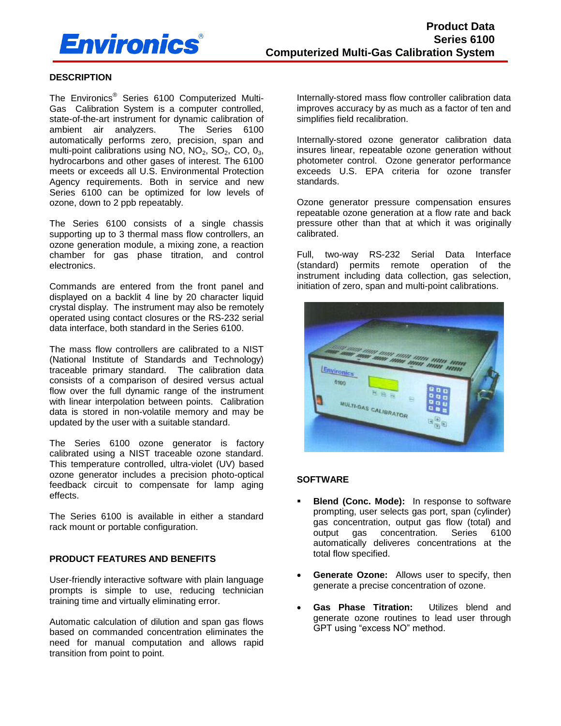

## **DESCRIPTION**

The Environics® Series 6100 Computerized Multi-Gas Calibration System is a computer controlled, state-of-the-art instrument for dynamic calibration of<br>ambient air analyzers. The Series 6100 ambient air analyzers. automatically performs zero, precision, span and multi-point calibrations using NO,  $NO<sub>2</sub>$ ,  $SO<sub>2</sub>$ ,  $CO$ ,  $O<sub>3</sub>$ , hydrocarbons and other gases of interest. The 6100 meets or exceeds all U.S. Environmental Protection Agency requirements. Both in service and new Series 6100 can be optimized for low levels of ozone, down to 2 ppb repeatably.

The Series 6100 consists of a single chassis supporting up to 3 thermal mass flow controllers, an ozone generation module, a mixing zone, a reaction chamber for gas phase titration, and control electronics.

Commands are entered from the front panel and displayed on a backlit 4 line by 20 character liquid crystal display. The instrument may also be remotely operated using contact closures or the RS-232 serial data interface, both standard in the Series 6100.

The mass flow controllers are calibrated to a NIST (National Institute of Standards and Technology) traceable primary standard. The calibration data consists of a comparison of desired versus actual flow over the full dynamic range of the instrument with linear interpolation between points. Calibration data is stored in non-volatile memory and may be updated by the user with a suitable standard.

The Series 6100 ozone generator is factory calibrated using a NIST traceable ozone standard. This temperature controlled, ultra-violet (UV) based ozone generator includes a precision photo-optical feedback circuit to compensate for lamp aging effects.

The Series 6100 is available in either a standard rack mount or portable configuration.

# **PRODUCT FEATURES AND BENEFITS**

User-friendly interactive software with plain language prompts is simple to use, reducing technician training time and virtually eliminating error.

Automatic calculation of dilution and span gas flows based on commanded concentration eliminates the need for manual computation and allows rapid transition from point to point.

Internally-stored mass flow controller calibration data improves accuracy by as much as a factor of ten and simplifies field recalibration.

 Internally-stored ozone generator calibration data insures linear, repeatable ozone generation without photometer control. Ozone generator performance exceeds U.S. EPA criteria for ozone transfer standards.

Ozone generator pressure compensation ensures repeatable ozone generation at a flow rate and back pressure other than that at which it was originally calibrated.

 Full, two-way RS-232 Serial Data Interface (standard) permits remote operation of the instrument including data collection, gas selection, initiation of zero, span and multi-point calibrations.



#### **SOFTWARE**

- **Blend (Conc. Mode):** In response to software prompting, user selects gas port, span (cylinder) gas concentration, output gas flow (total) and output gas concentration. Series 6100 automatically deliveres concentrations at the total flow specified.
- **Generate Ozone:** Allows user to specify, then generate a precise concentration of ozone.
- **Gas Phase Titration:** Utilizes blend and generate ozone routines to lead user through GPT using "excess NO" method.